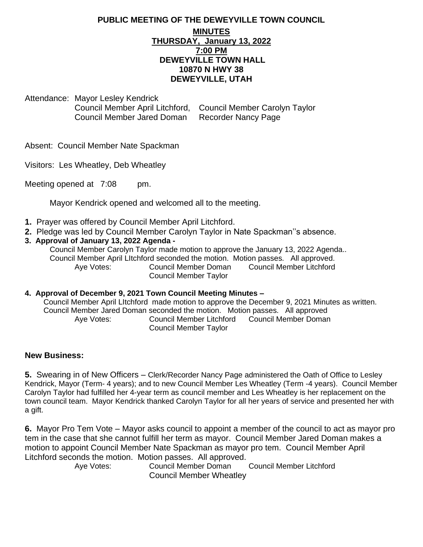# **PUBLIC MEETING OF THE DEWEYVILLE TOWN COUNCIL MINUTES THURSDAY, January 13, 2022 7:00 PM DEWEYVILLE TOWN HALL 10870 N HWY 38 DEWEYVILLE, UTAH**

Attendance: Mayor Lesley Kendrick Council Member April Litchford, Council Member Carolyn Taylor Council Member Jared Doman Recorder Nancy Page

Absent: Council Member Nate Spackman

Visitors: Les Wheatley, Deb Wheatley

Meeting opened at 7:08 pm.

Mayor Kendrick opened and welcomed all to the meeting.

- **1.** Prayer was offered by Council Member April Litchford.
- **2.** Pledge was led by Council Member Carolyn Taylor in Nate Spackman''s absence.
- **3. Approval of January 13, 2022 Agenda -**

Council Member Carolyn Taylor made motion to approve the January 13, 2022 Agenda.. Council Member April LItchford seconded the motion. Motion passes. All approved. Aye Votes: Council Member Doman Council Member Taylor

#### **4. Approval of December 9, 2021 Town Council Meeting Minutes –**

Council Member April LItchford made motion to approve the December 9, 2021 Minutes as written. Council Member Jared Doman seconded the motion. Motion passes. All approved Aye Votes: Council Member Litchford Council Member Doman Council Member Taylor

# **New Business:**

**5.** Swearing in of New Officers – Clerk/Recorder Nancy Page administered the Oath of Office to Lesley Kendrick, Mayor (Term- 4 years); and to new Council Member Les Wheatley (Term -4 years). Council Member Carolyn Taylor had fulfilled her 4-year term as council member and Les Wheatley is her replacement on the town council team. Mayor Kendrick thanked Carolyn Taylor for all her years of service and presented her with a gift.

**6.** Mayor Pro Tem Vote – Mayor asks council to appoint a member of the council to act as mayor pro tem in the case that she cannot fulfill her term as mayor. Council Member Jared Doman makes a motion to appoint Council Member Nate Spackman as mayor pro tem. Council Member April Litchford seconds the motion. Motion passes. All approved.

Aye Votes: Council Member Doman Council Member Litchford Council Member Wheatley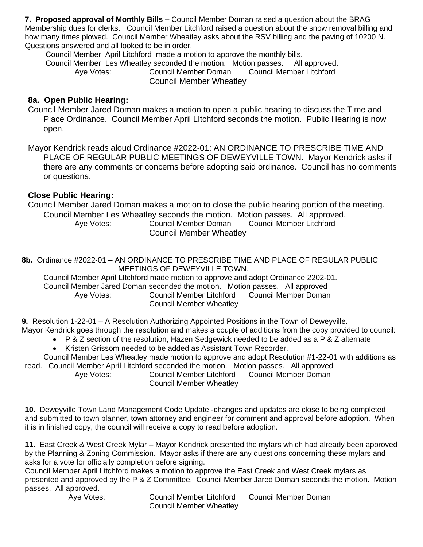**7. Proposed approval of Monthly Bills –** Council Member Doman raised a question about the BRAG Membership dues for clerks. Council Member Litchford raised a question about the snow removal billing and how many times plowed. Council Member Wheatley asks about the RSV billing and the paving of 10200 N. Questions answered and all looked to be in order.

Council Member April Litchford made a motion to approve the monthly bills.

Council Member Les Wheatley seconded the motion. Motion passes. All approved. Aye Votes: Council Member Doman Council Member Litchford

Council Member Wheatley

## **8a. Open Public Hearing:**

Council Member Jared Doman makes a motion to open a public hearing to discuss the Time and Place Ordinance. Council Member April LItchford seconds the motion. Public Hearing is now open.

Mayor Kendrick reads aloud Ordinance #2022-01: AN ORDINANCE TO PRESCRIBE TIME AND PLACE OF REGULAR PUBLIC MEETINGS OF DEWEYVILLE TOWN. Mayor Kendrick asks if there are any comments or concerns before adopting said ordinance. Council has no comments or questions.

# **Close Public Hearing:**

Council Member Jared Doman makes a motion to close the public hearing portion of the meeting. Council Member Les Wheatley seconds the motion. Motion passes. All approved. Aye Votes: Council Member Doman Council Member Litchford Council Member Wheatley

**8b.** Ordinance #2022-01 – AN ORDINANCE TO PRESCRIBE TIME AND PLACE OF REGULAR PUBLIC MEETINGS OF DEWEYVILLE TOWN.

Council Member April LItchford made motion to approve and adopt Ordinance 2202-01. Council Member Jared Doman seconded the motion. Motion passes. All approved Aye Votes: Council Member Litchford Council Member Doman Council Member Wheatley

**9.** Resolution 1-22-01 – A Resolution Authorizing Appointed Positions in the Town of Deweyville. Mayor Kendrick goes through the resolution and makes a couple of additions from the copy provided to council:

- P & Z section of the resolution, Hazen Sedgewick needed to be added as a P & Z alternate
- Kristen Grissom needed to be added as Assistant Town Recorder.

Council Member Les Wheatley made motion to approve and adopt Resolution #1-22-01 with additions as read. Council Member April Litchford seconded the motion. Motion passes. All approved

Aye Votes: Council Member Litchford Council Member Doman

Council Member Wheatley

**10.** Deweyville Town Land Management Code Update -changes and updates are close to being completed and submitted to town planner, town attorney and engineer for comment and approval before adoption. When it is in finished copy, the council will receive a copy to read before adoption.

**11.** East Creek & West Creek Mylar – Mayor Kendrick presented the mylars which had already been approved by the Planning & Zoning Commission. Mayor asks if there are any questions concerning these mylars and asks for a vote for officially completion before signing.

Council Member April Litchford makes a motion to approve the East Creek and West Creek mylars as presented and approved by the P & Z Committee. Council Member Jared Doman seconds the motion. Motion passes. All approved.

Aye Votes: Council Member Litchford Council Member Doman Council Member Wheatley